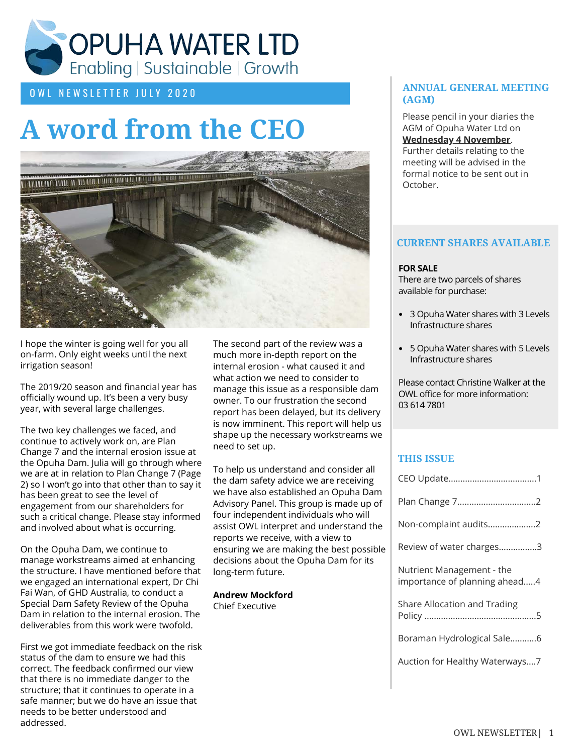

# OWL NEWSLETTER JULY 2020

# **A word from the CEO**



I hope the winter is going well for you all on-farm. Only eight weeks until the next irrigation season!

The 2019/20 season and financial year has officially wound up. It's been a very busy year, with several large challenges.

The two key challenges we faced, and continue to actively work on, are Plan Change 7 and the internal erosion issue at the Opuha Dam. Julia will go through where we are at in relation to Plan Change 7 (Page 2) so I won't go into that other than to say it has been great to see the level of engagement from our shareholders for such a critical change. Please stay informed and involved about what is occurring.

On the Opuha Dam, we continue to manage workstreams aimed at enhancing the structure. I have mentioned before that we engaged an international expert, Dr Chi Fai Wan, of GHD Australia, to conduct a Special Dam Safety Review of the Opuha Dam in relation to the internal erosion. The deliverables from this work were twofold.

First we got immediate feedback on the risk status of the dam to ensure we had this correct. The feedback confirmed our view that there is no immediate danger to the structure; that it continues to operate in a safe manner; but we do have an issue that needs to be better understood and addressed.

The second part of the review was a much more in-depth report on the internal erosion - what caused it and what action we need to consider to manage this issue as a responsible dam owner. To our frustration the second report has been delayed, but its delivery is now imminent. This report will help us shape up the necessary workstreams we need to set up.

To help us understand and consider all the dam safety advice we are receiving we have also established an Opuha Dam Advisory Panel. This group is made up of four independent individuals who will assist OWL interpret and understand the reports we receive, with a view to ensuring we are making the best possible decisions about the Opuha Dam for its long-term future.

**Andrew Mockford** Chief Executive

## **ANNUAL GENERAL MEETING (AGM)**

Please pencil in your diaries the AGM of Opuha Water Ltd on **Wednesday 4 November**. Further details relating to the meeting will be advised in the formal notice to be sent out in October.

## **CURRENT SHARES AVAILABLE**

### **FOR SALE**

There are two parcels of shares available for purchase:

- 3 Opuha Water shares with 3 Levels Infrastructure shares
- 5 Opuha Water shares with 5 Levels Infrastructure shares

Please contact Christine Walker at the OWL office for more information: 03 614 7801

# **THIS ISSUE**

| Non-complaint audits2                                      |  |
|------------------------------------------------------------|--|
| Review of water charges3                                   |  |
| Nutrient Management - the<br>importance of planning ahead4 |  |
| Share Allocation and Trading                               |  |
| Boraman Hydrological Sale6                                 |  |
| Auction for Healthy Waterways7                             |  |
|                                                            |  |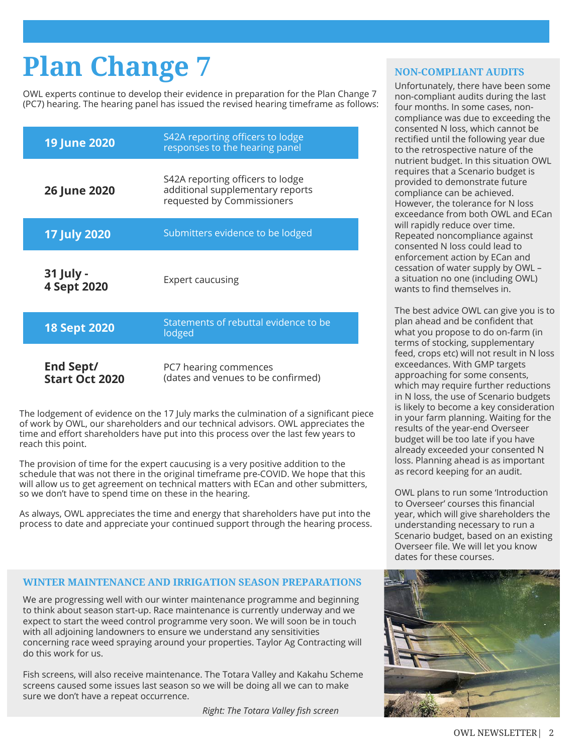# **Plan Change 7**

OWL experts continue to develop their evidence in preparation for the Plan Change 7 (PC7) hearing. The hearing panel has issued the revised hearing timeframe as follows:

| <b>19 June 2020</b>                | S42A reporting officers to lodge<br>responses to the hearing panel                                 |
|------------------------------------|----------------------------------------------------------------------------------------------------|
| <b>26 June 2020</b>                | S42A reporting officers to lodge<br>additional supplementary reports<br>requested by Commissioners |
| 17 July 2020                       | Submitters evidence to be lodged                                                                   |
| 31 July -<br>4 Sept 2020           | <b>Expert caucusing</b>                                                                            |
| <b>18 Sept 2020</b>                | Statements of rebuttal evidence to be<br>lodged                                                    |
| End Sept/<br><b>Start Oct 2020</b> | PC7 hearing commences<br>(dates and venues to be confirmed)                                        |

The lodgement of evidence on the 17 July marks the culmination of a significant piece of work by OWL, our shareholders and our technical advisors. OWL appreciates the time and effort shareholders have put into this process over the last few years to reach this point.

The provision of time for the expert caucusing is a very positive addition to the schedule that was not there in the original timeframe pre-COVID. We hope that this will allow us to get agreement on technical matters with ECan and other submitters, so we don't have to spend time on these in the hearing.

As always, OWL appreciates the time and energy that shareholders have put into the process to date and appreciate your continued support through the hearing process.

## **WINTER MAINTENANCE AND IRRIGATION SEASON PREPARATIONS**

We are progressing well with our winter maintenance programme and beginning to think about season start-up. Race maintenance is currently underway and we expect to start the weed control programme very soon. We will soon be in touch with all adjoining landowners to ensure we understand any sensitivities concerning race weed spraying around your properties. Taylor Ag Contracting will do this work for us.

Fish screens, will also receive maintenance. The Totara Valley and Kakahu Scheme screens caused some issues last season so we will be doing all we can to make sure we don't have a repeat occurrence.

*Right: The Totara Valley fish screen* 

### **NON-COMPLIANT AUDITS**

Unfortunately, there have been some non-compliant audits during the last four months. In some cases, noncompliance was due to exceeding the consented N loss, which cannot be rectified until the following year due to the retrospective nature of the nutrient budget. In this situation OWL requires that a Scenario budget is provided to demonstrate future compliance can be achieved. However, the tolerance for N loss exceedance from both OWL and ECan will rapidly reduce over time. Repeated noncompliance against consented N loss could lead to enforcement action by ECan and cessation of water supply by OWL – a situation no one (including OWL) wants to find themselves in.

The best advice OWL can give you is to plan ahead and be confident that what you propose to do on-farm (in terms of stocking, supplementary feed, crops etc) will not result in N loss exceedances. With GMP targets approaching for some consents, which may require further reductions in N loss, the use of Scenario budgets is likely to become a key consideration in your farm planning. Waiting for the results of the year-end Overseer budget will be too late if you have already exceeded your consented N loss. Planning ahead is as important as record keeping for an audit.

OWL plans to run some 'Introduction to Overseer' courses this financial year, which will give shareholders the understanding necessary to run a Scenario budget, based on an existing Overseer file. We will let you know dates for these courses.

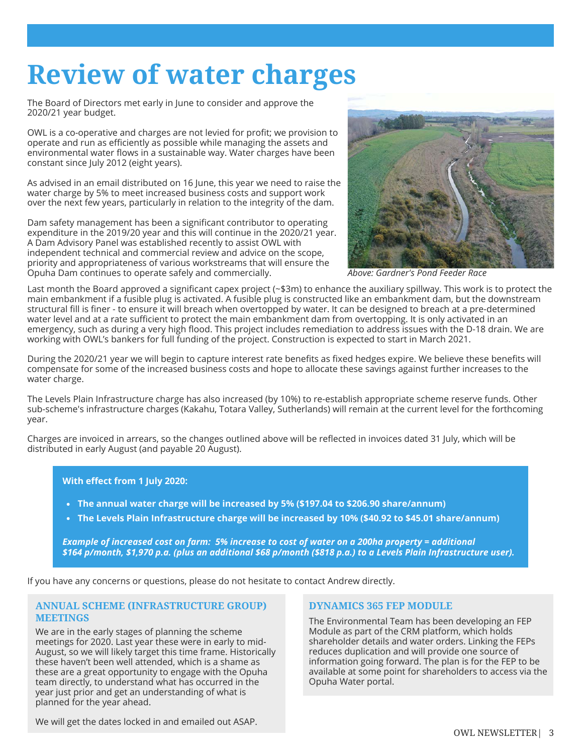# **Review of water charges**

The Board of Directors met early in June to consider and approve the 2020/21 year budget.

OWL is a co-operative and charges are not levied for profit; we provision to operate and run as efficiently as possible while managing the assets and environmental water flows in a sustainable way. Water charges have been constant since July 2012 (eight years).

As advised in an email distributed on 16 June, this year we need to raise the water charge by 5% to meet increased business costs and support work over the next few years, particularly in relation to the integrity of the dam.

Dam safety management has been a significant contributor to operating expenditure in the 2019/20 year and this will continue in the 2020/21 year. A Dam Advisory Panel was established recently to assist OWL with independent technical and commercial review and advice on the scope, priority and appropriateness of various workstreams that will ensure the Opuha Dam continues to operate safely and commercially.



*Above: Gardner's Pond Feeder Race*

Last month the Board approved a significant capex project (~\$3m) to enhance the auxiliary spillway. This work is to protect the main embankment if a fusible plug is activated. A fusible plug is constructed like an embankment dam, but the downstream structural fill is finer - to ensure it will breach when overtopped by water. It can be designed to breach at a pre-determined water level and at a rate sufficient to protect the main embankment dam from overtopping. It is only activated in an emergency, such as during a very high flood. This project includes remediation to address issues with the D-18 drain. We are working with OWL's bankers for full funding of the project. Construction is expected to start in March 2021.

During the 2020/21 year we will begin to capture interest rate benefits as fixed hedges expire. We believe these benefits will compensate for some of the increased business costs and hope to allocate these savings against further increases to the water charge.

The Levels Plain Infrastructure charge has also increased (by 10%) to re-establish appropriate scheme reserve funds. Other sub-scheme's infrastructure charges (Kakahu, Totara Valley, Sutherlands) will remain at the current level for the forthcoming year.

Charges are invoiced in arrears, so the changes outlined above will be reflected in invoices dated 31 July, which will be distributed in early August (and payable 20 August).

**With effect from 1 July 2020:**

- **The annual water charge will be increased by 5% (\$197.04 to \$206.90 share/annum)**
- **The Levels Plain Infrastructure charge will be increased by 10% (\$40.92 to \$45.01 share/annum)**

*Example of increased cost on farm: 5% increase to cost of water on a 200ha property = additional \$164 p/month, \$1,970 p.a. (plus an additional \$68 p/month (\$818 p.a.) to a Levels Plain Infrastructure user).*

If you have any concerns or questions, please do not hesitate to contact Andrew directly.

### **ANNUAL SCHEME (INFRASTRUCTURE GROUP) MEETINGS**

We are in the early stages of planning the scheme meetings for 2020. Last year these were in early to mid-August, so we will likely target this time frame. Historically these haven't been well attended, which is a shame as these are a great opportunity to engage with the Opuha team directly, to understand what has occurred in the year just prior and get an understanding of what is planned for the year ahead.

### **DYNAMICS 365 FEP MODULE**

The Environmental Team has been developing an FEP Module as part of the CRM platform, which holds shareholder details and water orders. Linking the FEPs reduces duplication and will provide one source of information going forward. The plan is for the FEP to be available at some point for shareholders to access via the Opuha Water portal.

We will get the dates locked in and emailed out ASAP.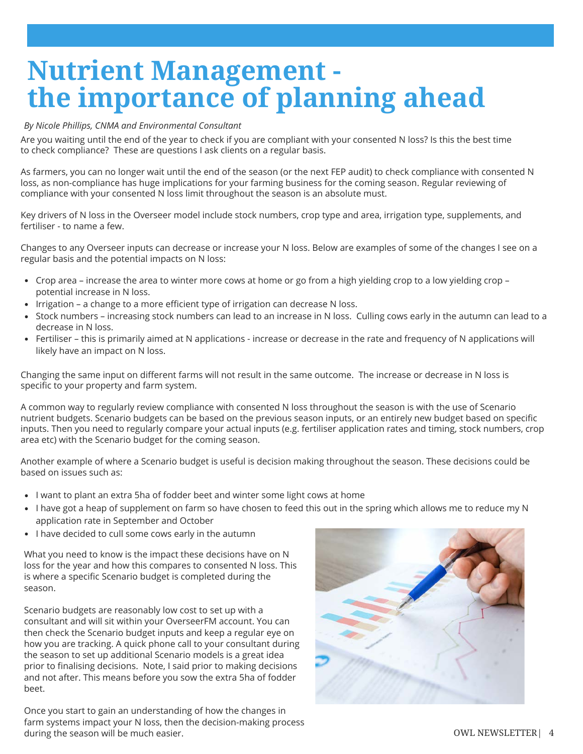# **Nutrient Management the importance of planning ahead**

### *By Nicole Phillips, CNMA and Environmental Consultant*

Are you waiting until the end of the year to check if you are compliant with your consented N loss? Is this the best time to check compliance? These are questions I ask clients on a regular basis.

As farmers, you can no longer wait until the end of the season (or the next FEP audit) to check compliance with consented N loss, as non-compliance has huge implications for your farming business for the coming season. Regular reviewing of compliance with your consented N loss limit throughout the season is an absolute must.

Key drivers of N loss in the Overseer model include stock numbers, crop type and area, irrigation type, supplements, and fertiliser - to name a few.

Changes to any Overseer inputs can decrease or increase your N loss. Below are examples of some of the changes I see on a regular basis and the potential impacts on N loss:

- Crop area increase the area to winter more cows at home or go from a high yielding crop to a low yielding crop potential increase in N loss.
- Irrigation a change to a more efficient type of irrigation can decrease N loss.
- Stock numbers increasing stock numbers can lead to an increase in N loss. Culling cows early in the autumn can lead to a decrease in N loss.
- Fertiliser this is primarily aimed at N applications increase or decrease in the rate and frequency of N applications will likely have an impact on N loss.

Changing the same input on different farms will not result in the same outcome. The increase or decrease in N loss is specific to your property and farm system.

A common way to regularly review compliance with consented N loss throughout the season is with the use of Scenario nutrient budgets. Scenario budgets can be based on the previous season inputs, or an entirely new budget based on specific inputs. Then you need to regularly compare your actual inputs (e.g. fertiliser application rates and timing, stock numbers, crop area etc) with the Scenario budget for the coming season.

Another example of where a Scenario budget is useful is decision making throughout the season. These decisions could be based on issues such as:

- I want to plant an extra 5ha of fodder beet and winter some light cows at home
- I have got a heap of supplement on farm so have chosen to feed this out in the spring which allows me to reduce my N application rate in September and October
- I have decided to cull some cows early in the autumn

What you need to know is the impact these decisions have on N loss for the year and how this compares to consented N loss. This is where a specific Scenario budget is completed during the season.

Scenario budgets are reasonably low cost to set up with a consultant and will sit within your OverseerFM account. You can then check the Scenario budget inputs and keep a regular eye on how you are tracking. A quick phone call to your consultant during the season to set up additional Scenario models is a great idea prior to finalising decisions. Note, I said prior to making decisions and not after. This means before you sow the extra 5ha of fodder beet.

Once you start to gain an understanding of how the changes in farm systems impact your N loss, then the decision-making process during the season will be much easier.

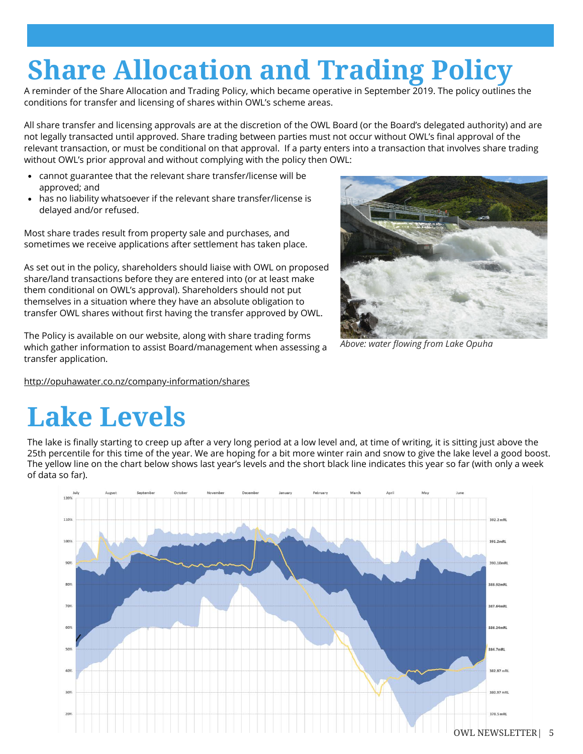# **Share Allocation and Trading Policy**

A reminder of the Share Allocation and Trading Policy, which became operative in September 2019. The policy outlines the conditions for transfer and licensing of shares within OWL's scheme areas.

All share transfer and licensing approvals are at the discretion of the OWL Board (or the Board's delegated authority) and are not legally transacted until approved. Share trading between parties must not occur without OWL's final approval of the relevant transaction, or must be conditional on that approval. If a party enters into a transaction that involves share trading without OWL's prior approval and without complying with the policy then OWL:

- cannot guarantee that the relevant share transfer/license will be approved; and
- has no liability whatsoever if the relevant share transfer/license is delayed and/or refused.

Most share trades result from property sale and purchases, and sometimes we receive applications after settlement has taken place.

As set out in the policy, shareholders should liaise with OWL on proposed share/land transactions before they are entered into (or at least make them conditional on OWL's approval). Shareholders should not put themselves in a situation where they have an absolute obligation to transfer OWL shares without first having the transfer approved by OWL.

The Policy is available on our website, along with share trading forms which gather information to assist Board/management when assessing a transfer application.

<http://opuhawater.co.nz/company-information/shares>

*Above: water flowing from Lake Opuha* 

# **Lake Levels**

The lake is finally starting to creep up after a very long period at a low level and, at time of writing, it is sitting just above the 25th percentile for this time of the year. We are hoping for a bit more winter rain and snow to give the lake level a good boost. The yellow line on the chart below shows last year's levels and the short black line indicates this year so far (with only a week of data so far).

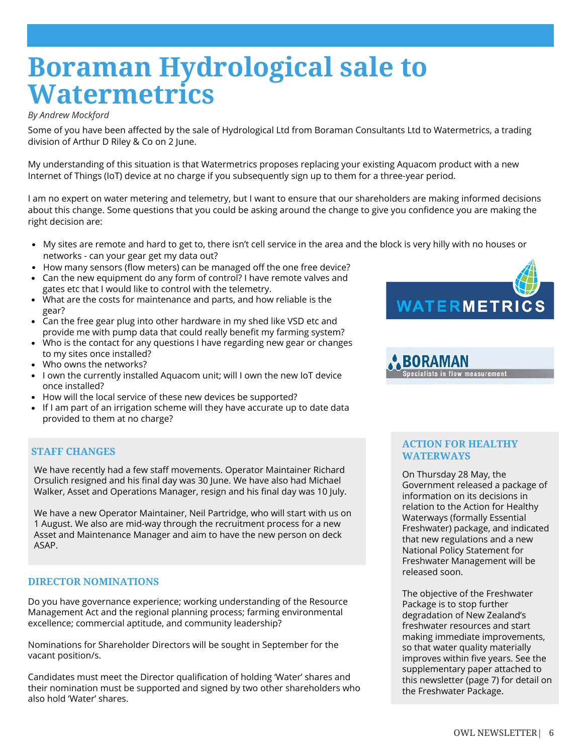# **Boraman Hydrological sale to Watermetrics**

### *By Andrew Mockford*

Some of you have been affected by the sale of Hydrological Ltd from Boraman Consultants Ltd to Watermetrics, a trading division of Arthur D Riley & Co on 2 June.

My understanding of this situation is that Watermetrics proposes replacing your existing Aquacom product with a new Internet of Things (IoT) device at no charge if you subsequently sign up to them for a three-year period.

I am no expert on water metering and telemetry, but I want to ensure that our shareholders are making informed decisions about this change. Some questions that you could be asking around the change to give you confidence you are making the right decision are:

- My sites are remote and hard to get to, there isn't cell service in the area and the block is very hilly with no houses or networks - can your gear get my data out?
- How many sensors (flow meters) can be managed off the one free device?
- Can the new equipment do any form of control? I have remote valves and gates etc that I would like to control with the telemetry.
- What are the costs for maintenance and parts, and how reliable is the gear?
- Can the free gear plug into other hardware in my shed like VSD etc and provide me with pump data that could really benefit my farming system?
- Who is the contact for any questions I have regarding new gear or changes to my sites once installed?
- Who owns the networks?
- I own the currently installed Aquacom unit; will I own the new IoT device once installed?
- How will the local service of these new devices be supported?
- If I am part of an irrigation scheme will they have accurate up to date data provided to them at no charge?

## **STAFF CHANGES**

We have recently had a few staff movements. Operator Maintainer Richard Orsulich resigned and his final day was 30 June. We have also had Michael Walker, Asset and Operations Manager, resign and his final day was 10 July.

We have a new Operator Maintainer, Neil Partridge, who will start with us on 1 August. We also are mid-way through the recruitment process for a new Asset and Maintenance Manager and aim to have the new person on deck ASAP.

## **DIRECTOR NOMINATIONS**

Do you have governance experience; working understanding of the Resource Management Act and the regional planning process; farming environmental excellence; commercial aptitude, and community leadership?

Nominations for Shareholder Directors will be sought in September for the vacant position/s.

Candidates must meet the Director qualification of holding 'Water' shares and their nomination must be supported and signed by two other shareholders who also hold 'Water' shares.





## **ACTION FOR HEALTHY WATERWAYS**

On Thursday 28 May, the Government released a package of information on its decisions in relation to the Action for Healthy Waterways (formally Essential Freshwater) package, and indicated that new regulations and a new National Policy Statement for Freshwater Management will be released soon.

The objective of the Freshwater Package is to stop further degradation of New Zealand's freshwater resources and start making immediate improvements, so that water quality materially improves within five years. See the supplementary paper attached to this newsletter (page 7) for detail on the Freshwater Package.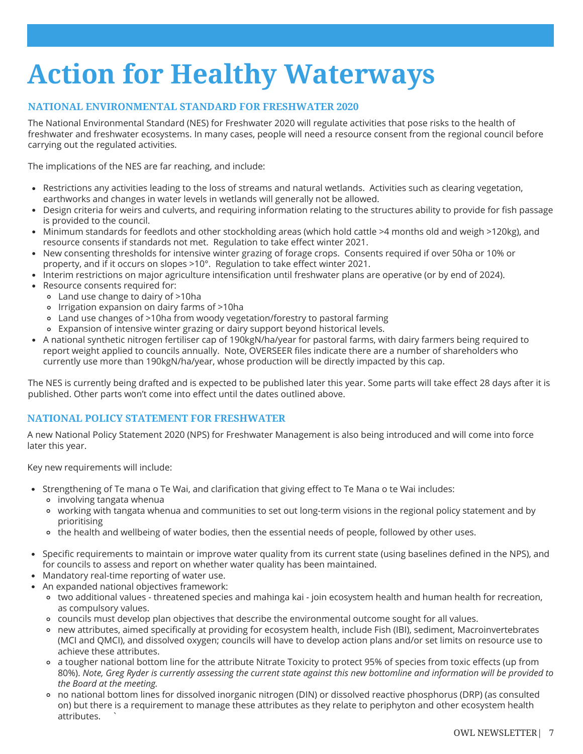# **Action for Healthy Waterways**

# **NATIONAL ENVIRONMENTAL STANDARD FOR FRESHWATER 2020**

The National Environmental Standard (NES) for Freshwater 2020 will regulate activities that pose risks to the health of freshwater and freshwater ecosystems. In many cases, people will need a resource consent from the regional council before carrying out the regulated activities.

The implications of the NES are far reaching, and include:

- Restrictions any activities leading to the loss of streams and natural wetlands. Activities such as clearing vegetation, earthworks and changes in water levels in wetlands will generally not be allowed.
- Design criteria for weirs and culverts, and requiring information relating to the structures ability to provide for fish passage is provided to the council.
- Minimum standards for feedlots and other stockholding areas (which hold cattle >4 months old and weigh >120kg), and resource consents if standards not met. Regulation to take effect winter 2021.
- New consenting thresholds for intensive winter grazing of forage crops. Consents required if over 50ha or 10% or property, and if it occurs on slopes >10°. Regulation to take effect winter 2021.
- Interim restrictions on major agriculture intensification until freshwater plans are operative (or by end of 2024).
- Resource consents required for:
	- Land use change to dairy of >10ha
	- Irrigation expansion on dairy farms of >10ha
	- Land use changes of >10ha from woody vegetation/forestry to pastoral farming
	- Expansion of intensive winter grazing or dairy support beyond historical levels.
- A national synthetic nitrogen fertiliser cap of 190kgN/ha/year for pastoral farms, with dairy farmers being required to report weight applied to councils annually. Note, OVERSEER files indicate there are a number of shareholders who currently use more than 190kgN/ha/year, whose production will be directly impacted by this cap.

The NES is currently being drafted and is expected to be published later this year. Some parts will take effect 28 days after it is published. Other parts won't come into effect until the dates outlined above.

## **NATIONAL POLICY STATEMENT FOR FRESHWATER**

A new National Policy Statement 2020 (NPS) for Freshwater Management is also being introduced and will come into force later this year.

Key new requirements will include:

- Strengthening of Te mana o Te Wai, and clarification that giving effect to Te Mana o te Wai includes:
	- involving tangata whenua
	- working with tangata whenua and communities to set out long-term visions in the regional policy statement and by prioritising
	- o the health and wellbeing of water bodies, then the essential needs of people, followed by other uses.
- Specific requirements to maintain or improve water quality from its current state (using baselines defined in the NPS), and for councils to assess and report on whether water quality has been maintained.
- Mandatory real-time reporting of water use.
- An expanded national objectives framework:
	- two additional values threatened species and mahinga kai join ecosystem health and human health for recreation, as compulsory values.
	- councils must develop plan objectives that describe the environmental outcome sought for all values.
	- new attributes, aimed specifically at providing for ecosystem health, include Fish (IBI), sediment, Macroinvertebrates (MCI and QMCI), and dissolved oxygen; councils will have to develop action plans and/or set limits on resource use to achieve these attributes.
	- a tougher national bottom line for the attribute Nitrate Toxicity to protect 95% of species from toxic effects (up from 80%). *Note, Greg Ryder is currently assessing the current state against this new bottomline and information will be provided to the Board at the meeting.*
	- no national bottom lines for dissolved inorganic nitrogen (DIN) or dissolved reactive phosphorus (DRP) (as consulted on) but there is a requirement to manage these attributes as they relate to periphyton and other ecosystem health attributes.